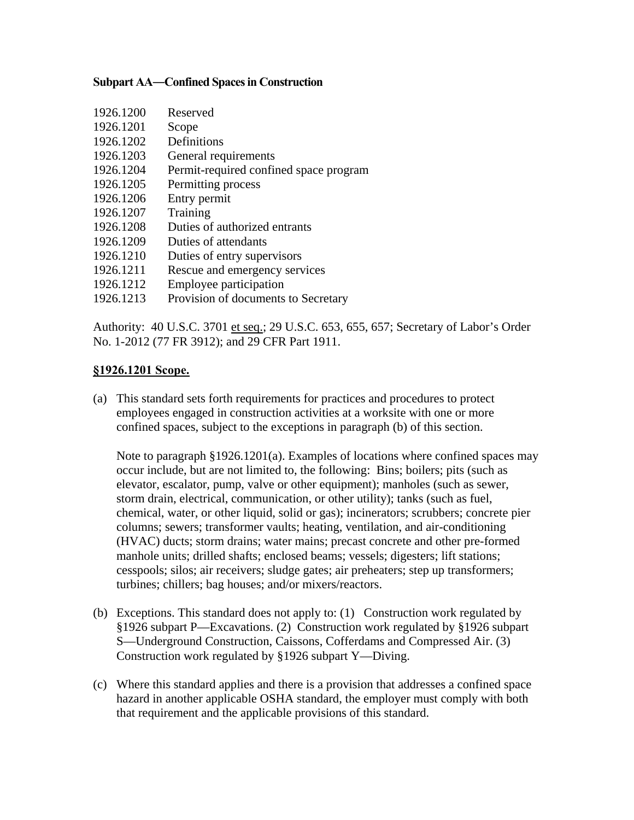## **Subpart AA―Confined Spaces in Construction**

| 1926.1200 | Reserved                               |
|-----------|----------------------------------------|
| 1926.1201 | Scope                                  |
| 1926.1202 | Definitions                            |
| 1926.1203 | General requirements                   |
| 1926.1204 | Permit-required confined space program |
| 1926.1205 | Permitting process                     |
| 1926.1206 | Entry permit                           |
| 1926.1207 | Training                               |
| 1926.1208 | Duties of authorized entrants          |
| 1926.1209 | Duties of attendants                   |
| 1926.1210 | Duties of entry supervisors            |
| 1926.1211 | Rescue and emergency services          |
| 1926.1212 | Employee participation                 |
| 1926.1213 | Provision of documents to Secretary    |

Authority:40 U.S.C. 3701 et seq.; 29 U.S.C. 653, 655, 657; Secretary of Labor's Order No. 1-2012 (77 FR 3912); and 29 CFR Part 1911.

## **§1926.1201 Scope.**

(a) This standard sets forth requirements for practices and procedures to protect employees engaged in construction activities at a worksite with one or more confined spaces, subject to the exceptions in paragraph (b) of this section.

Note to paragraph §1926.1201(a). Examples of locations where confined spaces may occur include, but are not limited to, the following: Bins; boilers; pits (such as elevator, escalator, pump, valve or other equipment); manholes (such as sewer, storm drain, electrical, communication, or other utility); tanks (such as fuel, chemical, water, or other liquid, solid or gas); incinerators; scrubbers; concrete pier columns; sewers; transformer vaults; heating, ventilation, and air-conditioning (HVAC) ducts; storm drains; water mains; precast concrete and other pre-formed manhole units; drilled shafts; enclosed beams; vessels; digesters; lift stations; cesspools; silos; air receivers; sludge gates; air preheaters; step up transformers; turbines; chillers; bag houses; and/or mixers/reactors.

- (b) Exceptions. This standard does not apply to: (1) Construction work regulated by §1926 subpart P—Excavations. (2) Construction work regulated by §1926 subpart S—Underground Construction, Caissons, Cofferdams and Compressed Air. (3) Construction work regulated by §1926 subpart Y—Diving.
- (c) Where this standard applies and there is a provision that addresses a confined space hazard in another applicable OSHA standard, the employer must comply with both that requirement and the applicable provisions of this standard.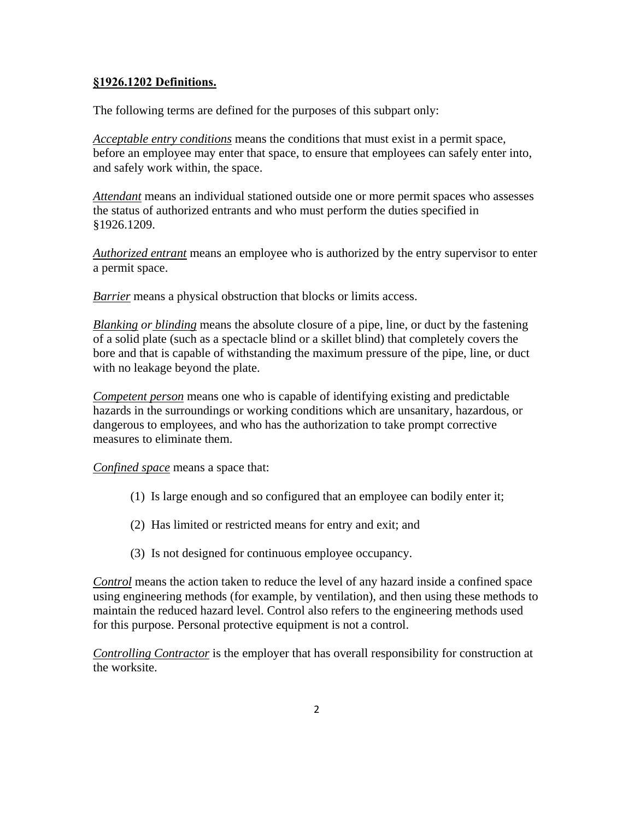## **§1926.1202 Definitions.**

The following terms are defined for the purposes of this subpart only:

*Acceptable entry conditions* means the conditions that must exist in a permit space, before an employee may enter that space, to ensure that employees can safely enter into, and safely work within, the space.

*Attendant* means an individual stationed outside one or more permit spaces who assesses the status of authorized entrants and who must perform the duties specified in §1926.1209.

*Authorized entrant* means an employee who is authorized by the entry supervisor to enter a permit space.

*Barrier* means a physical obstruction that blocks or limits access.

*Blanking or blinding* means the absolute closure of a pipe, line, or duct by the fastening of a solid plate (such as a spectacle blind or a skillet blind) that completely covers the bore and that is capable of withstanding the maximum pressure of the pipe, line, or duct with no leakage beyond the plate.

*Competent person* means one who is capable of identifying existing and predictable hazards in the surroundings or working conditions which are unsanitary, hazardous, or dangerous to employees, and who has the authorization to take prompt corrective measures to eliminate them.

*Confined space* means a space that:

- (1) Is large enough and so configured that an employee can bodily enter it;
- (2) Has limited or restricted means for entry and exit; and
- (3) Is not designed for continuous employee occupancy.

*Control* means the action taken to reduce the level of any hazard inside a confined space using engineering methods (for example, by ventilation), and then using these methods to maintain the reduced hazard level. Control also refers to the engineering methods used for this purpose. Personal protective equipment is not a control.

*Controlling Contractor* is the employer that has overall responsibility for construction at the worksite.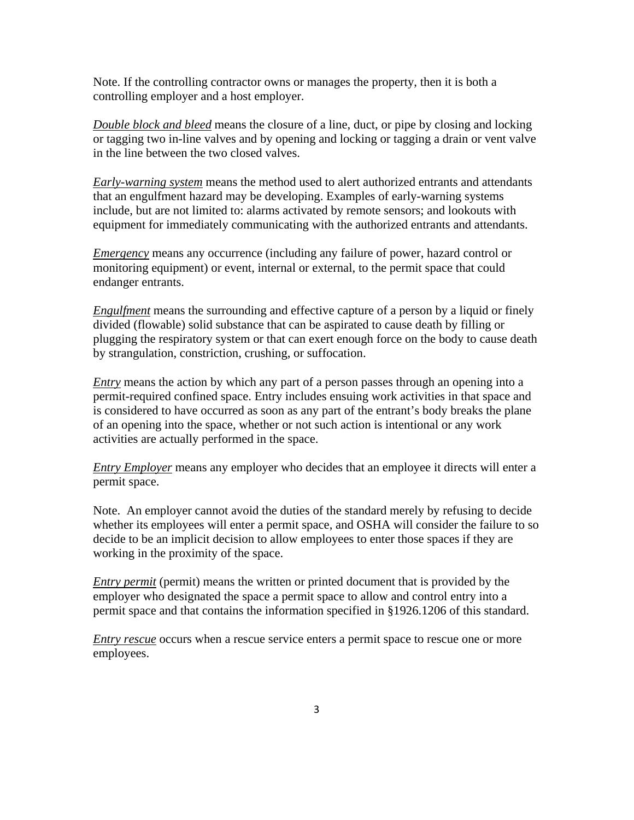Note. If the controlling contractor owns or manages the property, then it is both a controlling employer and a host employer.

*Double block and bleed* means the closure of a line, duct, or pipe by closing and locking or tagging two in-line valves and by opening and locking or tagging a drain or vent valve in the line between the two closed valves.

*Early-warning system* means the method used to alert authorized entrants and attendants that an engulfment hazard may be developing. Examples of early-warning systems include, but are not limited to: alarms activated by remote sensors; and lookouts with equipment for immediately communicating with the authorized entrants and attendants.

*Emergency* means any occurrence (including any failure of power, hazard control or monitoring equipment) or event, internal or external, to the permit space that could endanger entrants.

*Engulfment* means the surrounding and effective capture of a person by a liquid or finely divided (flowable) solid substance that can be aspirated to cause death by filling or plugging the respiratory system or that can exert enough force on the body to cause death by strangulation, constriction, crushing, or suffocation.

*Entry* means the action by which any part of a person passes through an opening into a permit-required confined space. Entry includes ensuing work activities in that space and is considered to have occurred as soon as any part of the entrant's body breaks the plane of an opening into the space, whether or not such action is intentional or any work activities are actually performed in the space.

*Entry Employer* means any employer who decides that an employee it directs will enter a permit space.

Note. An employer cannot avoid the duties of the standard merely by refusing to decide whether its employees will enter a permit space, and OSHA will consider the failure to so decide to be an implicit decision to allow employees to enter those spaces if they are working in the proximity of the space.

*Entry permit* (permit) means the written or printed document that is provided by the employer who designated the space a permit space to allow and control entry into a permit space and that contains the information specified in §1926.1206 of this standard.

*Entry rescue* occurs when a rescue service enters a permit space to rescue one or more employees.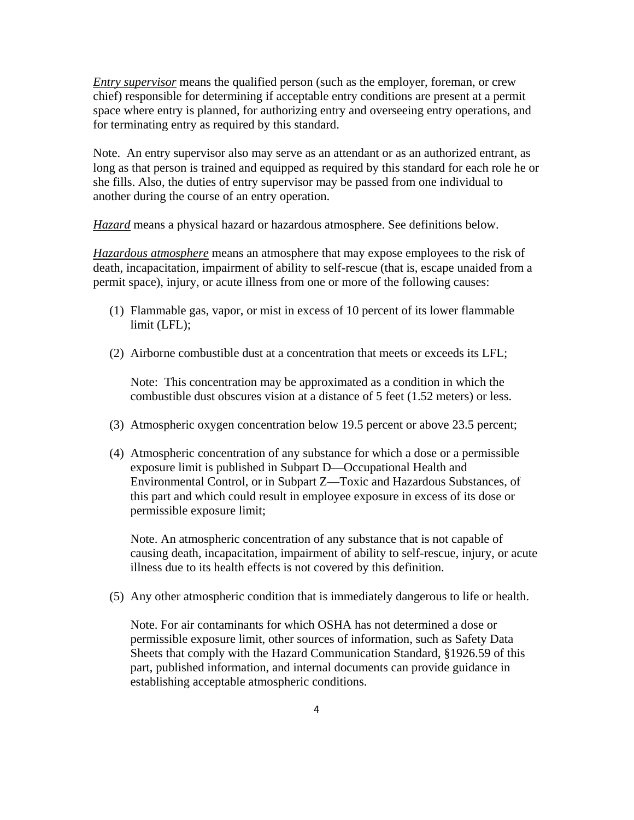*Entry supervisor* means the qualified person (such as the employer, foreman, or crew chief) responsible for determining if acceptable entry conditions are present at a permit space where entry is planned, for authorizing entry and overseeing entry operations, and for terminating entry as required by this standard.

Note. An entry supervisor also may serve as an attendant or as an authorized entrant, as long as that person is trained and equipped as required by this standard for each role he or she fills. Also, the duties of entry supervisor may be passed from one individual to another during the course of an entry operation.

*Hazard* means a physical hazard or hazardous atmosphere. See definitions below.

*Hazardous atmosphere* means an atmosphere that may expose employees to the risk of death, incapacitation, impairment of ability to self-rescue (that is, escape unaided from a permit space), injury, or acute illness from one or more of the following causes:

- (1) Flammable gas, vapor, or mist in excess of 10 percent of its lower flammable limit (LFL);
- (2) Airborne combustible dust at a concentration that meets or exceeds its LFL;

Note: This concentration may be approximated as a condition in which the combustible dust obscures vision at a distance of 5 feet (1.52 meters) or less.

- (3) Atmospheric oxygen concentration below 19.5 percent or above 23.5 percent;
- (4) Atmospheric concentration of any substance for which a dose or a permissible exposure limit is published in Subpart D—Occupational Health and Environmental Control, or in Subpart Z—Toxic and Hazardous Substances, of this part and which could result in employee exposure in excess of its dose or permissible exposure limit;

Note. An atmospheric concentration of any substance that is not capable of causing death, incapacitation, impairment of ability to self-rescue, injury, or acute illness due to its health effects is not covered by this definition.

(5) Any other atmospheric condition that is immediately dangerous to life or health.

Note. For air contaminants for which OSHA has not determined a dose or permissible exposure limit, other sources of information, such as Safety Data Sheets that comply with the Hazard Communication Standard, §1926.59 of this part, published information, and internal documents can provide guidance in establishing acceptable atmospheric conditions.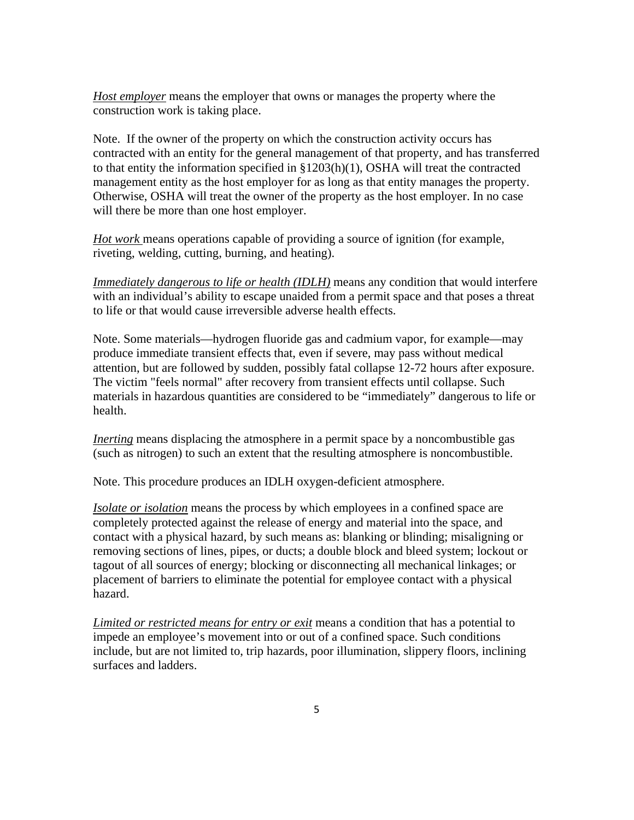*Host employer* means the employer that owns or manages the property where the construction work is taking place.

Note. If the owner of the property on which the construction activity occurs has contracted with an entity for the general management of that property, and has transferred to that entity the information specified in §1203(h)(1), OSHA will treat the contracted management entity as the host employer for as long as that entity manages the property. Otherwise, OSHA will treat the owner of the property as the host employer. In no case will there be more than one host employer.

*Hot work* means operations capable of providing a source of ignition (for example, riveting, welding, cutting, burning, and heating).

*Immediately dangerous to life or health (IDLH)* means any condition that would interfere with an individual's ability to escape unaided from a permit space and that poses a threat to life or that would cause irreversible adverse health effects.

Note. Some materials—hydrogen fluoride gas and cadmium vapor, for example—may produce immediate transient effects that, even if severe, may pass without medical attention, but are followed by sudden, possibly fatal collapse 12-72 hours after exposure. The victim "feels normal" after recovery from transient effects until collapse. Such materials in hazardous quantities are considered to be "immediately" dangerous to life or health.

*Inerting* means displacing the atmosphere in a permit space by a noncombustible gas (such as nitrogen) to such an extent that the resulting atmosphere is noncombustible.

Note. This procedure produces an IDLH oxygen-deficient atmosphere.

*Isolate or isolation* means the process by which employees in a confined space are completely protected against the release of energy and material into the space, and contact with a physical hazard, by such means as: blanking or blinding; misaligning or removing sections of lines, pipes, or ducts; a double block and bleed system; lockout or tagout of all sources of energy; blocking or disconnecting all mechanical linkages; or placement of barriers to eliminate the potential for employee contact with a physical hazard.

*Limited or restricted means for entry or exit* means a condition that has a potential to impede an employee's movement into or out of a confined space. Such conditions include, but are not limited to, trip hazards, poor illumination, slippery floors, inclining surfaces and ladders.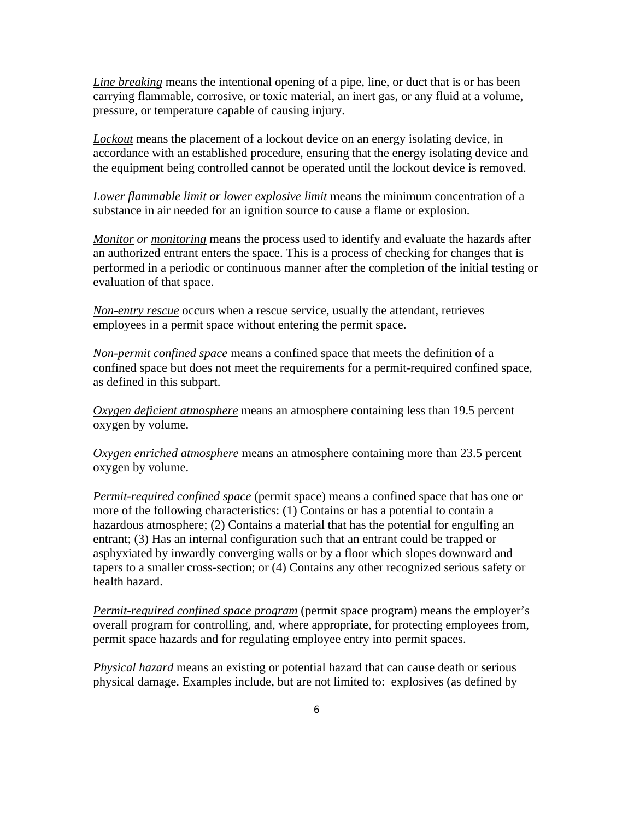*Line breaking* means the intentional opening of a pipe, line, or duct that is or has been carrying flammable, corrosive, or toxic material, an inert gas, or any fluid at a volume, pressure, or temperature capable of causing injury.

*Lockout* means the placement of a lockout device on an energy isolating device, in accordance with an established procedure, ensuring that the energy isolating device and the equipment being controlled cannot be operated until the lockout device is removed.

*Lower flammable limit or lower explosive limit* means the minimum concentration of a substance in air needed for an ignition source to cause a flame or explosion.

*Monitor or monitoring* means the process used to identify and evaluate the hazards after an authorized entrant enters the space. This is a process of checking for changes that is performed in a periodic or continuous manner after the completion of the initial testing or evaluation of that space.

*Non-entry rescue* occurs when a rescue service, usually the attendant, retrieves employees in a permit space without entering the permit space.

*Non-permit confined space* means a confined space that meets the definition of a confined space but does not meet the requirements for a permit-required confined space, as defined in this subpart.

*Oxygen deficient atmosphere* means an atmosphere containing less than 19.5 percent oxygen by volume.

*Oxygen enriched atmosphere* means an atmosphere containing more than 23.5 percent oxygen by volume.

*Permit-required confined space* (permit space) means a confined space that has one or more of the following characteristics: (1) Contains or has a potential to contain a hazardous atmosphere; (2) Contains a material that has the potential for engulfing an entrant; (3) Has an internal configuration such that an entrant could be trapped or asphyxiated by inwardly converging walls or by a floor which slopes downward and tapers to a smaller cross-section; or (4) Contains any other recognized serious safety or health hazard.

*Permit-required confined space program* (permit space program) means the employer's overall program for controlling, and, where appropriate, for protecting employees from, permit space hazards and for regulating employee entry into permit spaces.

*Physical hazard* means an existing or potential hazard that can cause death or serious physical damage. Examples include, but are not limited to: explosives (as defined by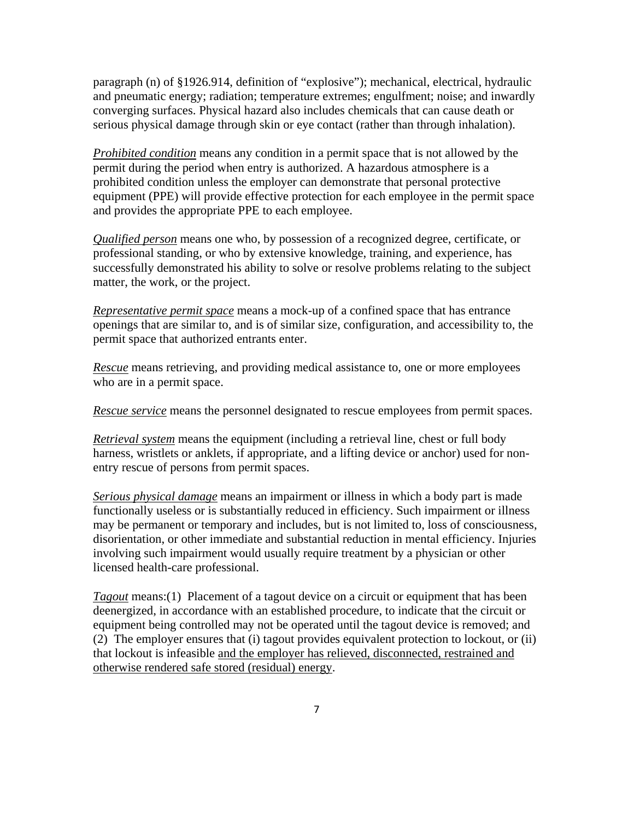paragraph (n) of §1926.914, definition of "explosive"); mechanical, electrical, hydraulic and pneumatic energy; radiation; temperature extremes; engulfment; noise; and inwardly converging surfaces. Physical hazard also includes chemicals that can cause death or serious physical damage through skin or eye contact (rather than through inhalation).

*Prohibited condition* means any condition in a permit space that is not allowed by the permit during the period when entry is authorized. A hazardous atmosphere is a prohibited condition unless the employer can demonstrate that personal protective equipment (PPE) will provide effective protection for each employee in the permit space and provides the appropriate PPE to each employee.

*Qualified person* means one who, by possession of a recognized degree, certificate, or professional standing, or who by extensive knowledge, training, and experience, has successfully demonstrated his ability to solve or resolve problems relating to the subject matter, the work, or the project.

*Representative permit space* means a mock-up of a confined space that has entrance openings that are similar to, and is of similar size, configuration, and accessibility to, the permit space that authorized entrants enter.

*Rescue* means retrieving, and providing medical assistance to, one or more employees who are in a permit space.

*Rescue service* means the personnel designated to rescue employees from permit spaces.

*Retrieval system* means the equipment (including a retrieval line, chest or full body harness, wristlets or anklets, if appropriate, and a lifting device or anchor) used for nonentry rescue of persons from permit spaces.

*Serious physical damage* means an impairment or illness in which a body part is made functionally useless or is substantially reduced in efficiency. Such impairment or illness may be permanent or temporary and includes, but is not limited to, loss of consciousness, disorientation, or other immediate and substantial reduction in mental efficiency. Injuries involving such impairment would usually require treatment by a physician or other licensed health-care professional.

*Tagout* means:(1) Placement of a tagout device on a circuit or equipment that has been deenergized, in accordance with an established procedure, to indicate that the circuit or equipment being controlled may not be operated until the tagout device is removed; and (2) The employer ensures that (i) tagout provides equivalent protection to lockout, or (ii) that lockout is infeasible and the employer has relieved, disconnected, restrained and otherwise rendered safe stored (residual) energy.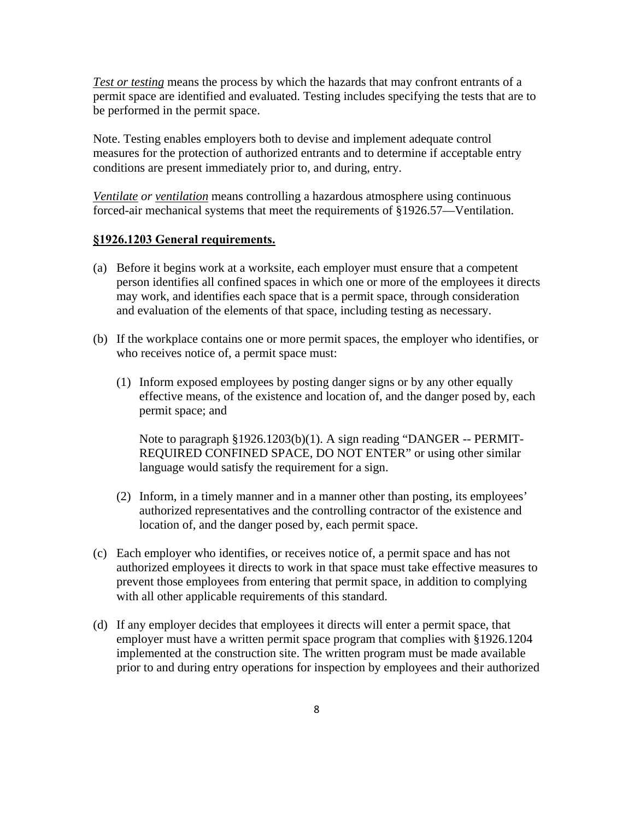*Test or testing* means the process by which the hazards that may confront entrants of a permit space are identified and evaluated. Testing includes specifying the tests that are to be performed in the permit space.

Note. Testing enables employers both to devise and implement adequate control measures for the protection of authorized entrants and to determine if acceptable entry conditions are present immediately prior to, and during, entry.

*Ventilate or ventilation* means controlling a hazardous atmosphere using continuous forced-air mechanical systems that meet the requirements of §1926.57—Ventilation.

## **§1926.1203 General requirements.**

- (a) Before it begins work at a worksite, each employer must ensure that a competent person identifies all confined spaces in which one or more of the employees it directs may work, and identifies each space that is a permit space, through consideration and evaluation of the elements of that space, including testing as necessary.
- (b) If the workplace contains one or more permit spaces, the employer who identifies, or who receives notice of, a permit space must:
	- (1) Inform exposed employees by posting danger signs or by any other equally effective means, of the existence and location of, and the danger posed by, each permit space; and

Note to paragraph §1926.1203(b)(1). A sign reading "DANGER -- PERMIT-REQUIRED CONFINED SPACE, DO NOT ENTER" or using other similar language would satisfy the requirement for a sign.

- (2) Inform, in a timely manner and in a manner other than posting, its employees' authorized representatives and the controlling contractor of the existence and location of, and the danger posed by, each permit space.
- (c) Each employer who identifies, or receives notice of, a permit space and has not authorized employees it directs to work in that space must take effective measures to prevent those employees from entering that permit space, in addition to complying with all other applicable requirements of this standard.
- (d) If any employer decides that employees it directs will enter a permit space, that employer must have a written permit space program that complies with §1926.1204 implemented at the construction site. The written program must be made available prior to and during entry operations for inspection by employees and their authorized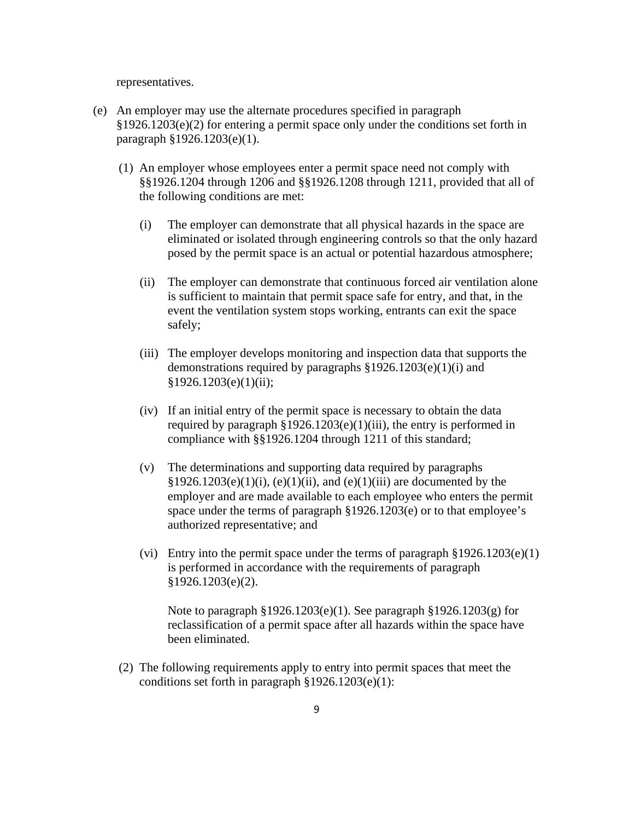representatives.

- (e) An employer may use the alternate procedures specified in paragraph §1926.1203(e)(2) for entering a permit space only under the conditions set forth in paragraph §1926.1203(e)(1).
	- (1) An employer whose employees enter a permit space need not comply with §§1926.1204 through 1206 and §§1926.1208 through 1211, provided that all of the following conditions are met:
		- (i) The employer can demonstrate that all physical hazards in the space are eliminated or isolated through engineering controls so that the only hazard posed by the permit space is an actual or potential hazardous atmosphere;
		- (ii) The employer can demonstrate that continuous forced air ventilation alone is sufficient to maintain that permit space safe for entry, and that, in the event the ventilation system stops working, entrants can exit the space safely;
		- (iii) The employer develops monitoring and inspection data that supports the demonstrations required by paragraphs §1926.1203(e)(1)(i) and  $§1926.1203(e)(1)(ii);$
		- (iv) If an initial entry of the permit space is necessary to obtain the data required by paragraph  $§1926.1203(e)(1)(iii)$ , the entry is performed in compliance with §§1926.1204 through 1211 of this standard;
		- (v) The determinations and supporting data required by paragraphs  $§1926.1203(e)(1)(i)$ , (e)(1)(ii), and (e)(1)(iii) are documented by the employer and are made available to each employee who enters the permit space under the terms of paragraph §1926.1203(e) or to that employee's authorized representative; and
		- (vi) Entry into the permit space under the terms of paragraph  $\S 1926.1203(e)(1)$ is performed in accordance with the requirements of paragraph §1926.1203(e)(2).

Note to paragraph §1926.1203(e)(1). See paragraph §1926.1203(g) for reclassification of a permit space after all hazards within the space have been eliminated.

(2) The following requirements apply to entry into permit spaces that meet the conditions set forth in paragraph §1926.1203(e)(1):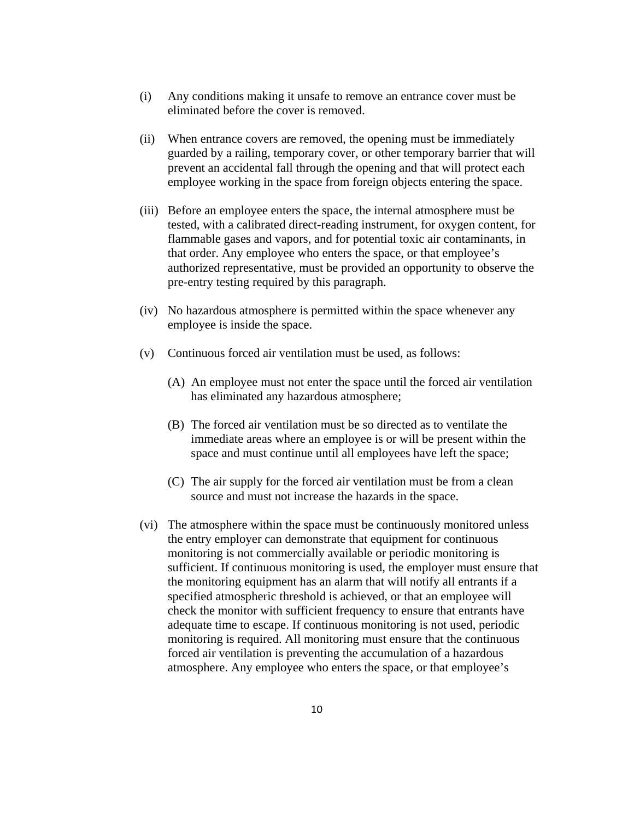- (i) Any conditions making it unsafe to remove an entrance cover must be eliminated before the cover is removed.
- (ii) When entrance covers are removed, the opening must be immediately guarded by a railing, temporary cover, or other temporary barrier that will prevent an accidental fall through the opening and that will protect each employee working in the space from foreign objects entering the space.
- (iii) Before an employee enters the space, the internal atmosphere must be tested, with a calibrated direct-reading instrument, for oxygen content, for flammable gases and vapors, and for potential toxic air contaminants, in that order. Any employee who enters the space, or that employee's authorized representative, must be provided an opportunity to observe the pre-entry testing required by this paragraph.
- (iv) No hazardous atmosphere is permitted within the space whenever any employee is inside the space.
- (v) Continuous forced air ventilation must be used, as follows:
	- (A) An employee must not enter the space until the forced air ventilation has eliminated any hazardous atmosphere;
	- (B) The forced air ventilation must be so directed as to ventilate the immediate areas where an employee is or will be present within the space and must continue until all employees have left the space;
	- (C) The air supply for the forced air ventilation must be from a clean source and must not increase the hazards in the space.
- (vi) The atmosphere within the space must be continuously monitored unless the entry employer can demonstrate that equipment for continuous monitoring is not commercially available or periodic monitoring is sufficient. If continuous monitoring is used, the employer must ensure that the monitoring equipment has an alarm that will notify all entrants if a specified atmospheric threshold is achieved, or that an employee will check the monitor with sufficient frequency to ensure that entrants have adequate time to escape. If continuous monitoring is not used, periodic monitoring is required. All monitoring must ensure that the continuous forced air ventilation is preventing the accumulation of a hazardous atmosphere. Any employee who enters the space, or that employee's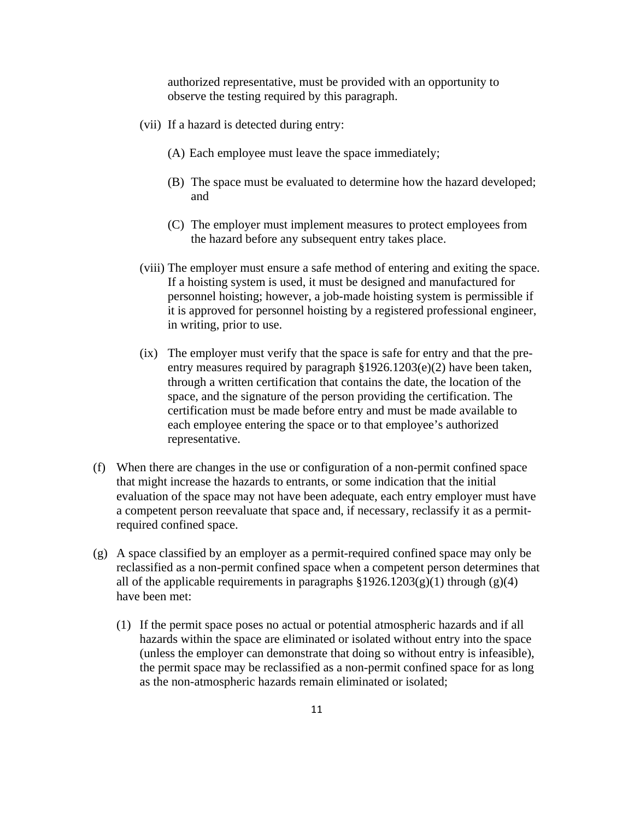authorized representative, must be provided with an opportunity to observe the testing required by this paragraph.

- (vii) If a hazard is detected during entry:
	- (A) Each employee must leave the space immediately;
	- (B) The space must be evaluated to determine how the hazard developed; and
	- (C) The employer must implement measures to protect employees from the hazard before any subsequent entry takes place.
- (viii) The employer must ensure a safe method of entering and exiting the space. If a hoisting system is used, it must be designed and manufactured for personnel hoisting; however, a job-made hoisting system is permissible if it is approved for personnel hoisting by a registered professional engineer, in writing, prior to use.
- (ix) The employer must verify that the space is safe for entry and that the preentry measures required by paragraph §1926.1203(e)(2) have been taken, through a written certification that contains the date, the location of the space, and the signature of the person providing the certification. The certification must be made before entry and must be made available to each employee entering the space or to that employee's authorized representative.
- (f) When there are changes in the use or configuration of a non-permit confined space that might increase the hazards to entrants, or some indication that the initial evaluation of the space may not have been adequate, each entry employer must have a competent person reevaluate that space and, if necessary, reclassify it as a permitrequired confined space.
- (g) A space classified by an employer as a permit-required confined space may only be reclassified as a non-permit confined space when a competent person determines that all of the applicable requirements in paragraphs  $\S 1926.1203(g)(1)$  through  $(g)(4)$ have been met:
	- (1) If the permit space poses no actual or potential atmospheric hazards and if all hazards within the space are eliminated or isolated without entry into the space (unless the employer can demonstrate that doing so without entry is infeasible), the permit space may be reclassified as a non-permit confined space for as long as the non-atmospheric hazards remain eliminated or isolated;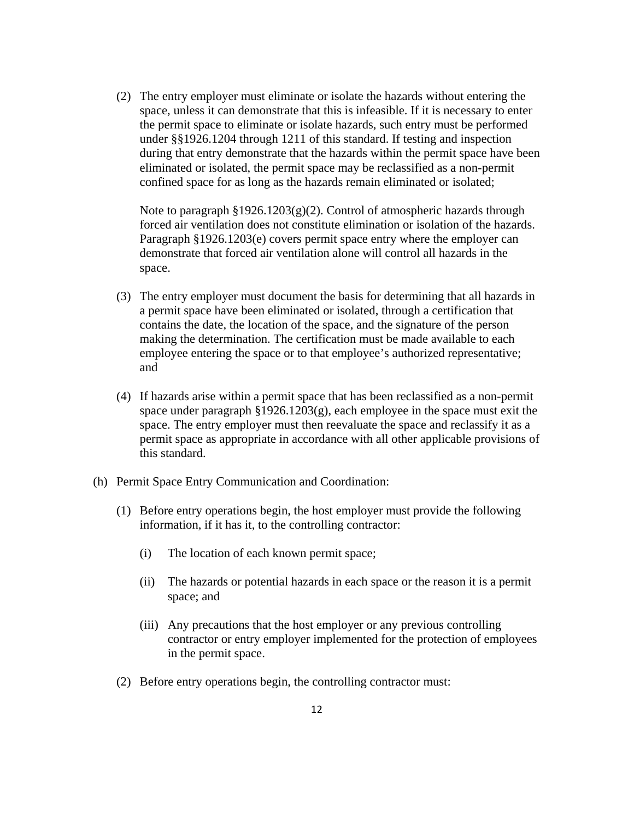(2) The entry employer must eliminate or isolate the hazards without entering the space, unless it can demonstrate that this is infeasible. If it is necessary to enter the permit space to eliminate or isolate hazards, such entry must be performed under §§1926.1204 through 1211 of this standard. If testing and inspection during that entry demonstrate that the hazards within the permit space have been eliminated or isolated, the permit space may be reclassified as a non-permit confined space for as long as the hazards remain eliminated or isolated;

Note to paragraph §1926.1203(g)(2). Control of atmospheric hazards through forced air ventilation does not constitute elimination or isolation of the hazards. Paragraph §1926.1203(e) covers permit space entry where the employer can demonstrate that forced air ventilation alone will control all hazards in the space.

- (3) The entry employer must document the basis for determining that all hazards in a permit space have been eliminated or isolated, through a certification that contains the date, the location of the space, and the signature of the person making the determination. The certification must be made available to each employee entering the space or to that employee's authorized representative; and
- (4) If hazards arise within a permit space that has been reclassified as a non-permit space under paragraph §1926.1203(g), each employee in the space must exit the space. The entry employer must then reevaluate the space and reclassify it as a permit space as appropriate in accordance with all other applicable provisions of this standard.
- (h) Permit Space Entry Communication and Coordination:
	- (1) Before entry operations begin, the host employer must provide the following information, if it has it, to the controlling contractor:
		- (i) The location of each known permit space;
		- (ii) The hazards or potential hazards in each space or the reason it is a permit space; and
		- (iii) Any precautions that the host employer or any previous controlling contractor or entry employer implemented for the protection of employees in the permit space.
	- (2) Before entry operations begin, the controlling contractor must: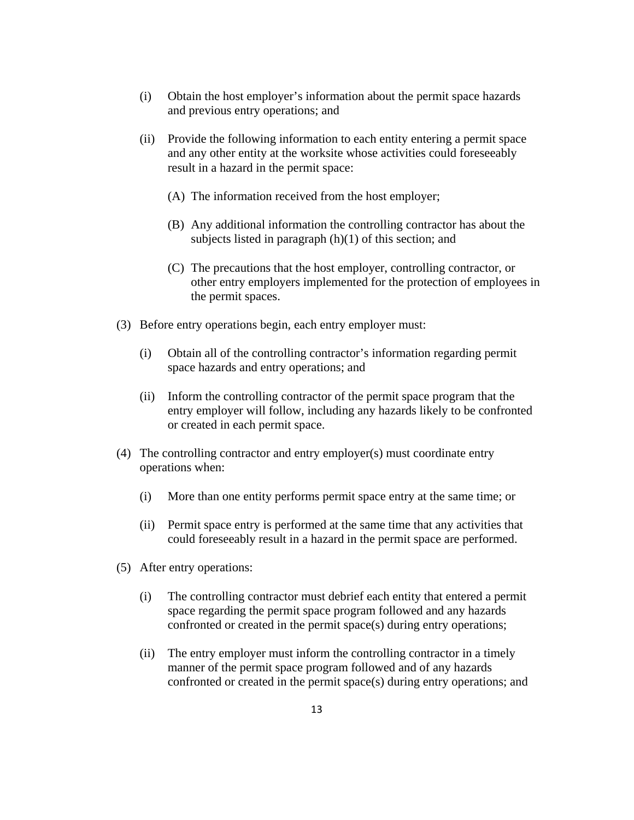- (i) Obtain the host employer's information about the permit space hazards and previous entry operations; and
- (ii) Provide the following information to each entity entering a permit space and any other entity at the worksite whose activities could foreseeably result in a hazard in the permit space:
	- (A) The information received from the host employer;
	- (B) Any additional information the controlling contractor has about the subjects listed in paragraph  $(h)(1)$  of this section; and
	- (C) The precautions that the host employer, controlling contractor, or other entry employers implemented for the protection of employees in the permit spaces.
- (3) Before entry operations begin, each entry employer must:
	- (i) Obtain all of the controlling contractor's information regarding permit space hazards and entry operations; and
	- (ii) Inform the controlling contractor of the permit space program that the entry employer will follow, including any hazards likely to be confronted or created in each permit space.
- (4) The controlling contractor and entry employer(s) must coordinate entry operations when:
	- (i) More than one entity performs permit space entry at the same time; or
	- (ii) Permit space entry is performed at the same time that any activities that could foreseeably result in a hazard in the permit space are performed.
- (5) After entry operations:
	- (i) The controlling contractor must debrief each entity that entered a permit space regarding the permit space program followed and any hazards confronted or created in the permit space(s) during entry operations;
	- (ii) The entry employer must inform the controlling contractor in a timely manner of the permit space program followed and of any hazards confronted or created in the permit space(s) during entry operations; and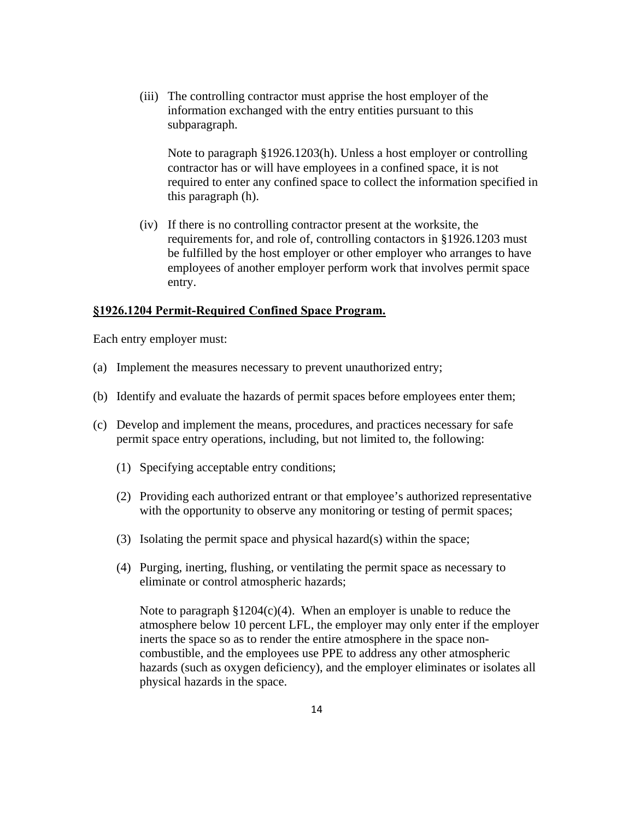(iii) The controlling contractor must apprise the host employer of the information exchanged with the entry entities pursuant to this subparagraph.

Note to paragraph §1926.1203(h). Unless a host employer or controlling contractor has or will have employees in a confined space, it is not required to enter any confined space to collect the information specified in this paragraph (h).

(iv) If there is no controlling contractor present at the worksite, the requirements for, and role of, controlling contactors in §1926.1203 must be fulfilled by the host employer or other employer who arranges to have employees of another employer perform work that involves permit space entry.

#### **§1926.1204 Permit-Required Confined Space Program.**

Each entry employer must:

- (a) Implement the measures necessary to prevent unauthorized entry;
- (b) Identify and evaluate the hazards of permit spaces before employees enter them;
- (c) Develop and implement the means, procedures, and practices necessary for safe permit space entry operations, including, but not limited to, the following:
	- (1) Specifying acceptable entry conditions;
	- (2) Providing each authorized entrant or that employee's authorized representative with the opportunity to observe any monitoring or testing of permit spaces;
	- (3) Isolating the permit space and physical hazard(s) within the space;
	- (4) Purging, inerting, flushing, or ventilating the permit space as necessary to eliminate or control atmospheric hazards;

Note to paragraph  $$1204(c)(4)$ . When an employer is unable to reduce the atmosphere below 10 percent LFL, the employer may only enter if the employer inerts the space so as to render the entire atmosphere in the space noncombustible, and the employees use PPE to address any other atmospheric hazards (such as oxygen deficiency), and the employer eliminates or isolates all physical hazards in the space.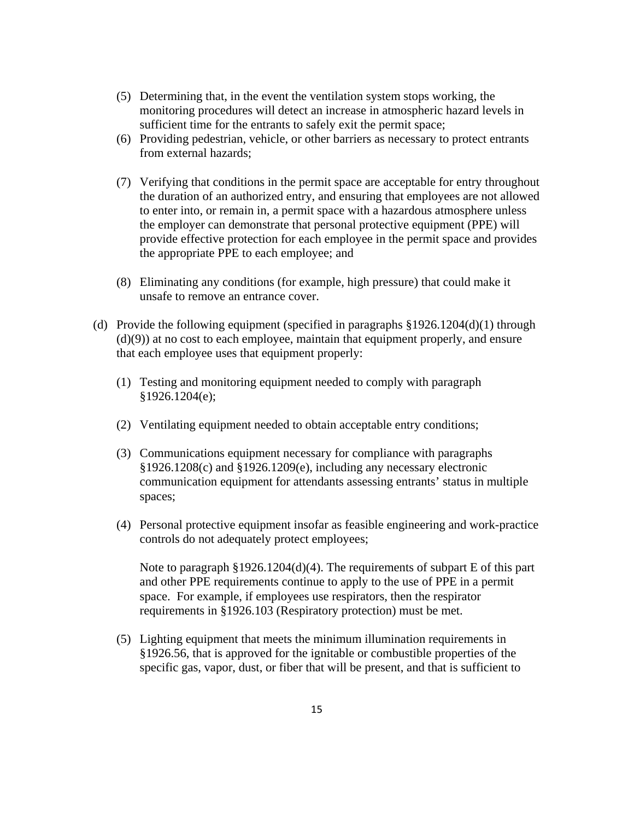- (5) Determining that, in the event the ventilation system stops working, the monitoring procedures will detect an increase in atmospheric hazard levels in sufficient time for the entrants to safely exit the permit space;
- (6) Providing pedestrian, vehicle, or other barriers as necessary to protect entrants from external hazards;
- (7) Verifying that conditions in the permit space are acceptable for entry throughout the duration of an authorized entry, and ensuring that employees are not allowed to enter into, or remain in, a permit space with a hazardous atmosphere unless the employer can demonstrate that personal protective equipment (PPE) will provide effective protection for each employee in the permit space and provides the appropriate PPE to each employee; and
- (8) Eliminating any conditions (for example, high pressure) that could make it unsafe to remove an entrance cover.
- (d) Provide the following equipment (specified in paragraphs §1926.1204(d)(1) through (d)(9)) at no cost to each employee, maintain that equipment properly, and ensure that each employee uses that equipment properly:
	- (1) Testing and monitoring equipment needed to comply with paragraph §1926.1204(e);
	- (2) Ventilating equipment needed to obtain acceptable entry conditions;
	- (3) Communications equipment necessary for compliance with paragraphs §1926.1208(c) and §1926.1209(e), including any necessary electronic communication equipment for attendants assessing entrants' status in multiple spaces;
	- (4) Personal protective equipment insofar as feasible engineering and work-practice controls do not adequately protect employees;

Note to paragraph §1926.1204(d)(4). The requirements of subpart E of this part and other PPE requirements continue to apply to the use of PPE in a permit space. For example, if employees use respirators, then the respirator requirements in §1926.103 (Respiratory protection) must be met.

(5) Lighting equipment that meets the minimum illumination requirements in §1926.56, that is approved for the ignitable or combustible properties of the specific gas, vapor, dust, or fiber that will be present, and that is sufficient to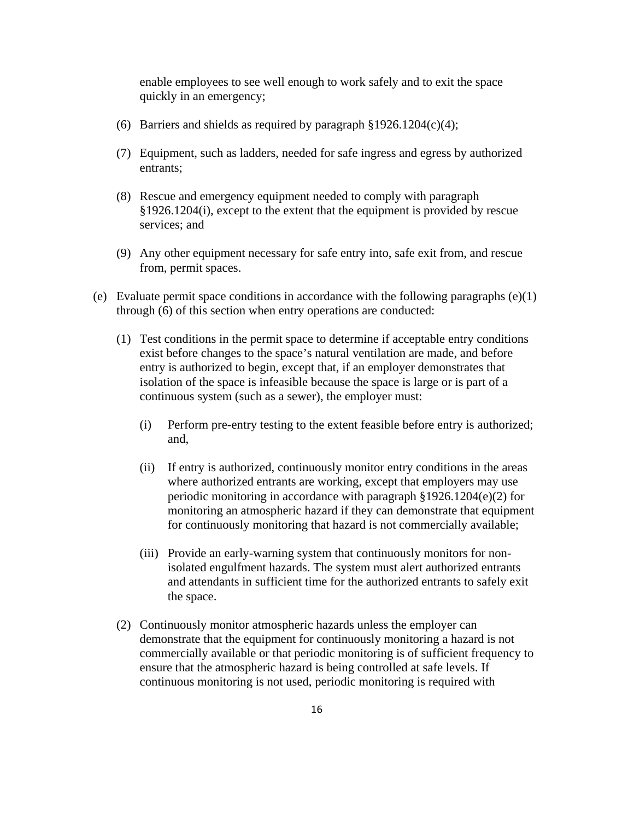enable employees to see well enough to work safely and to exit the space quickly in an emergency;

- (6) Barriers and shields as required by paragraph  $§1926.1204(c)(4);$
- (7) Equipment, such as ladders, needed for safe ingress and egress by authorized entrants;
- (8) Rescue and emergency equipment needed to comply with paragraph §1926.1204(i), except to the extent that the equipment is provided by rescue services; and
- (9) Any other equipment necessary for safe entry into, safe exit from, and rescue from, permit spaces.
- (e) Evaluate permit space conditions in accordance with the following paragraphs  $(e)(1)$ through (6) of this section when entry operations are conducted:
	- (1) Test conditions in the permit space to determine if acceptable entry conditions exist before changes to the space's natural ventilation are made, and before entry is authorized to begin, except that, if an employer demonstrates that isolation of the space is infeasible because the space is large or is part of a continuous system (such as a sewer), the employer must:
		- (i) Perform pre-entry testing to the extent feasible before entry is authorized; and,
		- (ii) If entry is authorized, continuously monitor entry conditions in the areas where authorized entrants are working, except that employers may use periodic monitoring in accordance with paragraph §1926.1204(e)(2) for monitoring an atmospheric hazard if they can demonstrate that equipment for continuously monitoring that hazard is not commercially available;
		- (iii) Provide an early-warning system that continuously monitors for nonisolated engulfment hazards. The system must alert authorized entrants and attendants in sufficient time for the authorized entrants to safely exit the space.
	- (2) Continuously monitor atmospheric hazards unless the employer can demonstrate that the equipment for continuously monitoring a hazard is not commercially available or that periodic monitoring is of sufficient frequency to ensure that the atmospheric hazard is being controlled at safe levels. If continuous monitoring is not used, periodic monitoring is required with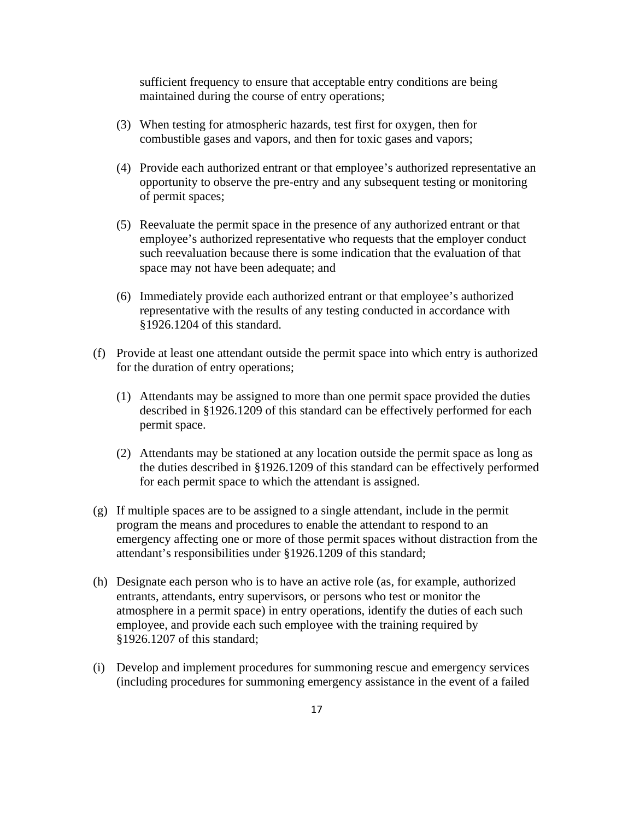sufficient frequency to ensure that acceptable entry conditions are being maintained during the course of entry operations;

- (3) When testing for atmospheric hazards, test first for oxygen, then for combustible gases and vapors, and then for toxic gases and vapors;
- (4) Provide each authorized entrant or that employee's authorized representative an opportunity to observe the pre-entry and any subsequent testing or monitoring of permit spaces;
- (5) Reevaluate the permit space in the presence of any authorized entrant or that employee's authorized representative who requests that the employer conduct such reevaluation because there is some indication that the evaluation of that space may not have been adequate; and
- (6) Immediately provide each authorized entrant or that employee's authorized representative with the results of any testing conducted in accordance with §1926.1204 of this standard.
- (f) Provide at least one attendant outside the permit space into which entry is authorized for the duration of entry operations;
	- (1) Attendants may be assigned to more than one permit space provided the duties described in §1926.1209 of this standard can be effectively performed for each permit space.
	- (2) Attendants may be stationed at any location outside the permit space as long as the duties described in §1926.1209 of this standard can be effectively performed for each permit space to which the attendant is assigned.
- (g) If multiple spaces are to be assigned to a single attendant, include in the permit program the means and procedures to enable the attendant to respond to an emergency affecting one or more of those permit spaces without distraction from the attendant's responsibilities under §1926.1209 of this standard;
- (h) Designate each person who is to have an active role (as, for example, authorized entrants, attendants, entry supervisors, or persons who test or monitor the atmosphere in a permit space) in entry operations, identify the duties of each such employee, and provide each such employee with the training required by §1926.1207 of this standard;
- (i) Develop and implement procedures for summoning rescue and emergency services (including procedures for summoning emergency assistance in the event of a failed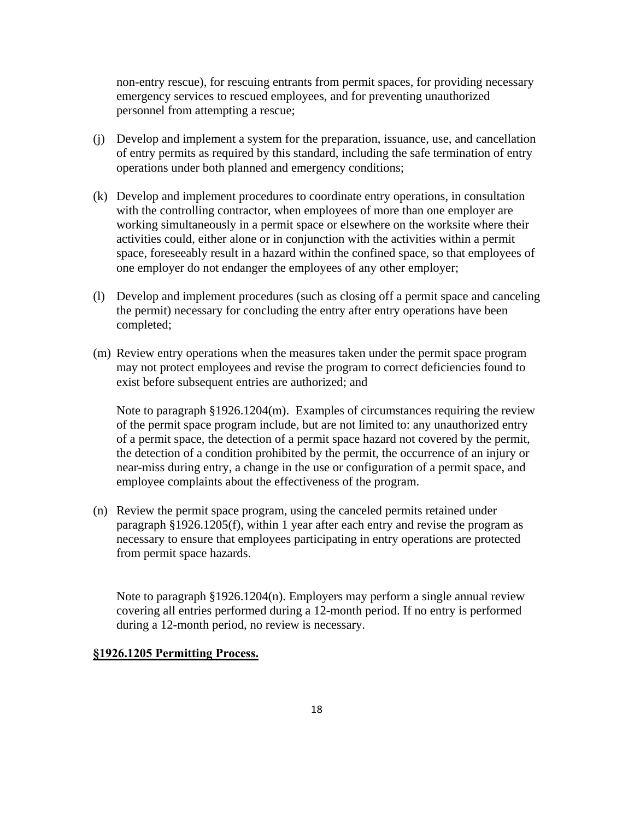non-entry rescue), for rescuing entrants from permit spaces, for providing necessary emergency services to rescued employees, and for preventing unauthorized personnel from attempting a rescue;

- (j) Develop and implement a system for the preparation, issuance, use, and cancellation of entry permits as required by this standard, including the safe termination of entry operations under both planned and emergency conditions;
- (k) Develop and implement procedures to coordinate entry operations, in consultation with the controlling contractor, when employees of more than one employer are working simultaneously in a permit space or elsewhere on the worksite where their activities could, either alone or in conjunction with the activities within a permit space, foreseeably result in a hazard within the confined space, so that employees of one employer do not endanger the employees of any other employer;
- (l) Develop and implement procedures (such as closing off a permit space and canceling the permit) necessary for concluding the entry after entry operations have been completed;
- (m) Review entry operations when the measures taken under the permit space program may not protect employees and revise the program to correct deficiencies found to exist before subsequent entries are authorized; and

Note to paragraph  $\S 1926.1204(m)$ . Examples of circumstances requiring the review of the permit space program include, but are not limited to: any unauthorized entry of a permit space, the detection of a permit space hazard not covered by the permit, the detection of a condition prohibited by the permit, the occurrence of an injury or near-miss during entry, a change in the use or configuration of a permit space, and employee complaints about the effectiveness of the program.

(n) Review the permit space program, using the canceled permits retained under paragraph §1926.1205(f), within 1 year after each entry and revise the program as necessary to ensure that employees participating in entry operations are protected from permit space hazards.

Note to paragraph §1926.1204(n). Employers may perform a single annual review covering all entries performed during a 12-month period. If no entry is performed during a 12-month period, no review is necessary.

### **§1926.1205 Permitting Process.**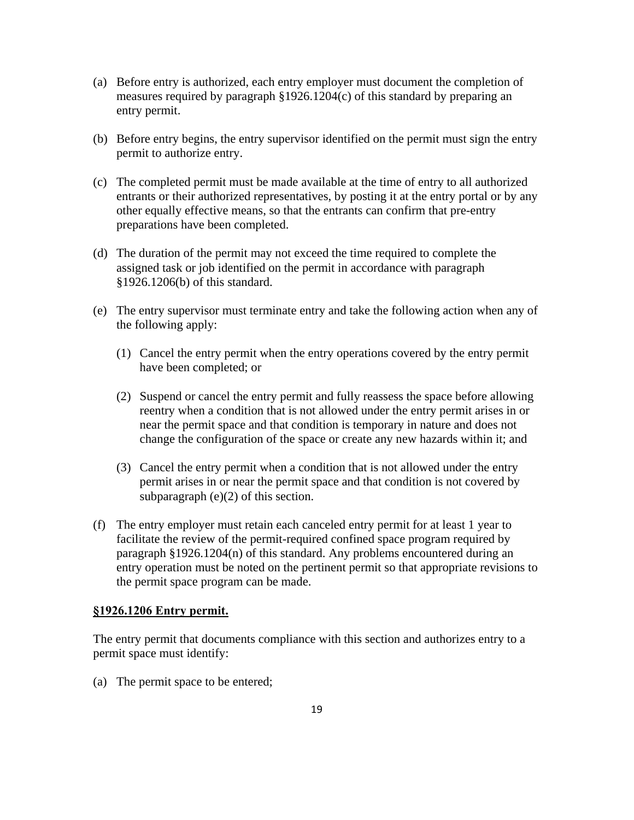- (a) Before entry is authorized, each entry employer must document the completion of measures required by paragraph §1926.1204(c) of this standard by preparing an entry permit.
- (b) Before entry begins, the entry supervisor identified on the permit must sign the entry permit to authorize entry.
- (c) The completed permit must be made available at the time of entry to all authorized entrants or their authorized representatives, by posting it at the entry portal or by any other equally effective means, so that the entrants can confirm that pre-entry preparations have been completed.
- (d) The duration of the permit may not exceed the time required to complete the assigned task or job identified on the permit in accordance with paragraph §1926.1206(b) of this standard.
- (e) The entry supervisor must terminate entry and take the following action when any of the following apply:
	- (1) Cancel the entry permit when the entry operations covered by the entry permit have been completed; or
	- (2) Suspend or cancel the entry permit and fully reassess the space before allowing reentry when a condition that is not allowed under the entry permit arises in or near the permit space and that condition is temporary in nature and does not change the configuration of the space or create any new hazards within it; and
	- (3) Cancel the entry permit when a condition that is not allowed under the entry permit arises in or near the permit space and that condition is not covered by subparagraph (e)(2) of this section.
- (f) The entry employer must retain each canceled entry permit for at least 1 year to facilitate the review of the permit-required confined space program required by paragraph §1926.1204(n) of this standard. Any problems encountered during an entry operation must be noted on the pertinent permit so that appropriate revisions to the permit space program can be made.

# **§1926.1206 Entry permit.**

The entry permit that documents compliance with this section and authorizes entry to a permit space must identify:

(a) The permit space to be entered;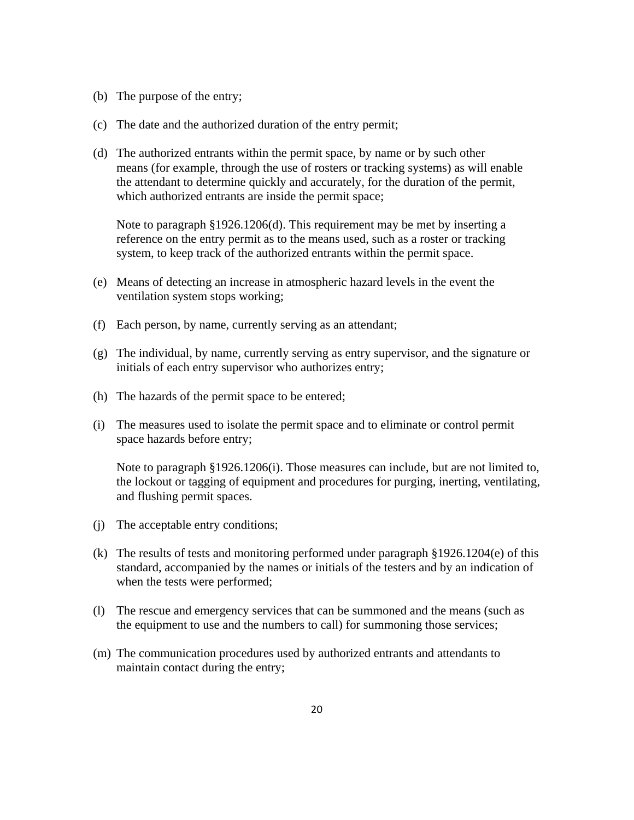- (b) The purpose of the entry;
- (c) The date and the authorized duration of the entry permit;
- (d) The authorized entrants within the permit space, by name or by such other means (for example, through the use of rosters or tracking systems) as will enable the attendant to determine quickly and accurately, for the duration of the permit, which authorized entrants are inside the permit space;

Note to paragraph §1926.1206(d). This requirement may be met by inserting a reference on the entry permit as to the means used, such as a roster or tracking system, to keep track of the authorized entrants within the permit space.

- (e) Means of detecting an increase in atmospheric hazard levels in the event the ventilation system stops working;
- (f) Each person, by name, currently serving as an attendant;
- (g) The individual, by name, currently serving as entry supervisor, and the signature or initials of each entry supervisor who authorizes entry;
- (h) The hazards of the permit space to be entered;
- (i) The measures used to isolate the permit space and to eliminate or control permit space hazards before entry;

Note to paragraph §1926.1206(i). Those measures can include, but are not limited to, the lockout or tagging of equipment and procedures for purging, inerting, ventilating, and flushing permit spaces.

- (j) The acceptable entry conditions;
- (k) The results of tests and monitoring performed under paragraph §1926.1204(e) of this standard, accompanied by the names or initials of the testers and by an indication of when the tests were performed;
- (l) The rescue and emergency services that can be summoned and the means (such as the equipment to use and the numbers to call) for summoning those services;
- (m) The communication procedures used by authorized entrants and attendants to maintain contact during the entry;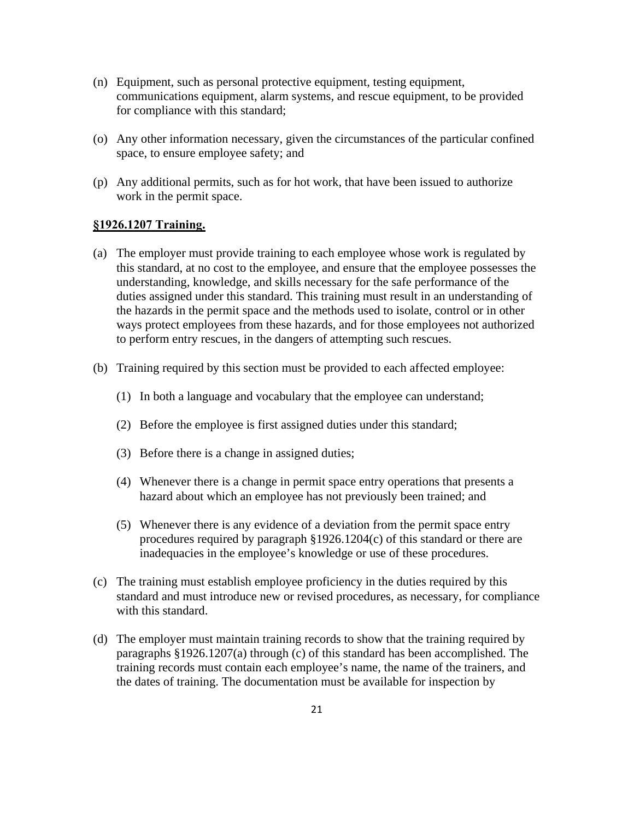- (n) Equipment, such as personal protective equipment, testing equipment, communications equipment, alarm systems, and rescue equipment, to be provided for compliance with this standard;
- (o) Any other information necessary, given the circumstances of the particular confined space, to ensure employee safety; and
- (p) Any additional permits, such as for hot work, that have been issued to authorize work in the permit space.

#### **§1926.1207 Training.**

- (a) The employer must provide training to each employee whose work is regulated by this standard, at no cost to the employee, and ensure that the employee possesses the understanding, knowledge, and skills necessary for the safe performance of the duties assigned under this standard. This training must result in an understanding of the hazards in the permit space and the methods used to isolate, control or in other ways protect employees from these hazards, and for those employees not authorized to perform entry rescues, in the dangers of attempting such rescues.
- (b) Training required by this section must be provided to each affected employee:
	- (1) In both a language and vocabulary that the employee can understand;
	- (2) Before the employee is first assigned duties under this standard;
	- (3) Before there is a change in assigned duties;
	- (4) Whenever there is a change in permit space entry operations that presents a hazard about which an employee has not previously been trained; and
	- (5) Whenever there is any evidence of a deviation from the permit space entry procedures required by paragraph §1926.1204(c) of this standard or there are inadequacies in the employee's knowledge or use of these procedures.
- (c) The training must establish employee proficiency in the duties required by this standard and must introduce new or revised procedures, as necessary, for compliance with this standard.
- (d) The employer must maintain training records to show that the training required by paragraphs §1926.1207(a) through (c) of this standard has been accomplished. The training records must contain each employee's name, the name of the trainers, and the dates of training. The documentation must be available for inspection by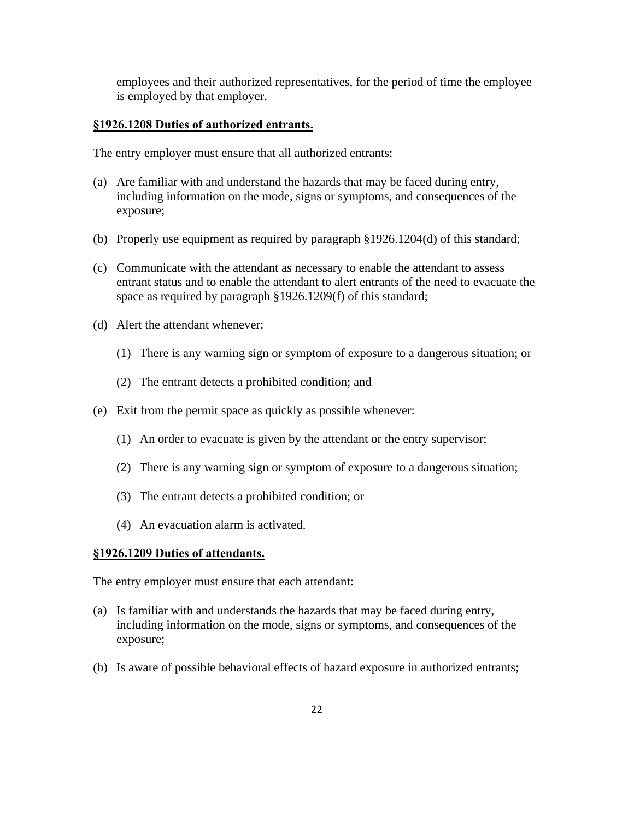employees and their authorized representatives, for the period of time the employee is employed by that employer.

### **§1926.1208 Duties of authorized entrants.**

The entry employer must ensure that all authorized entrants:

- (a) Are familiar with and understand the hazards that may be faced during entry, including information on the mode, signs or symptoms, and consequences of the exposure;
- (b) Properly use equipment as required by paragraph §1926.1204(d) of this standard;
- (c) Communicate with the attendant as necessary to enable the attendant to assess entrant status and to enable the attendant to alert entrants of the need to evacuate the space as required by paragraph §1926.1209(f) of this standard;
- (d) Alert the attendant whenever:
	- (1) There is any warning sign or symptom of exposure to a dangerous situation; or
	- (2) The entrant detects a prohibited condition; and
- (e) Exit from the permit space as quickly as possible whenever:
	- (1) An order to evacuate is given by the attendant or the entry supervisor;
	- (2) There is any warning sign or symptom of exposure to a dangerous situation;
	- (3) The entrant detects a prohibited condition; or
	- (4) An evacuation alarm is activated.

#### **§1926.1209 Duties of attendants.**

The entry employer must ensure that each attendant:

- (a) Is familiar with and understands the hazards that may be faced during entry, including information on the mode, signs or symptoms, and consequences of the exposure;
- (b) Is aware of possible behavioral effects of hazard exposure in authorized entrants;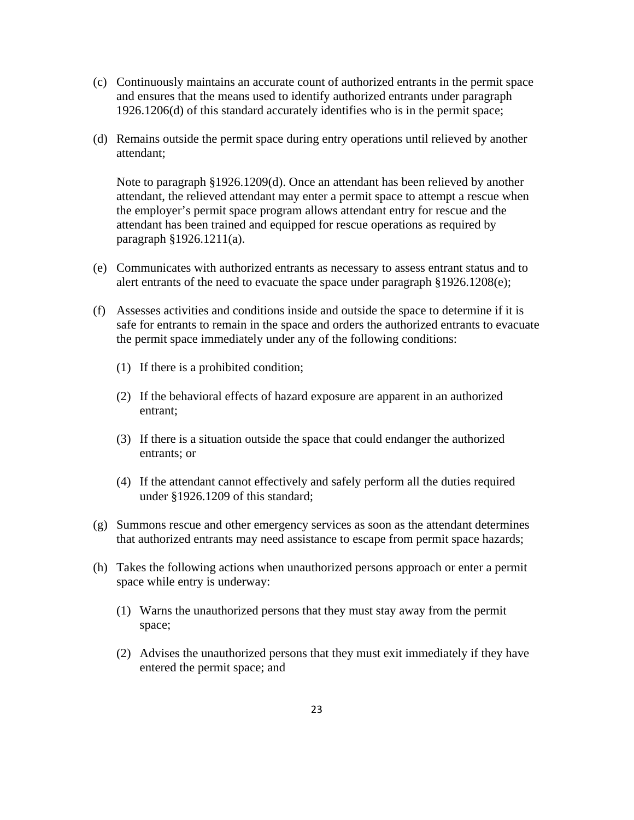- (c) Continuously maintains an accurate count of authorized entrants in the permit space and ensures that the means used to identify authorized entrants under paragraph 1926.1206(d) of this standard accurately identifies who is in the permit space;
- (d) Remains outside the permit space during entry operations until relieved by another attendant;

Note to paragraph §1926.1209(d). Once an attendant has been relieved by another attendant, the relieved attendant may enter a permit space to attempt a rescue when the employer's permit space program allows attendant entry for rescue and the attendant has been trained and equipped for rescue operations as required by paragraph §1926.1211(a).

- (e) Communicates with authorized entrants as necessary to assess entrant status and to alert entrants of the need to evacuate the space under paragraph §1926.1208(e);
- (f) Assesses activities and conditions inside and outside the space to determine if it is safe for entrants to remain in the space and orders the authorized entrants to evacuate the permit space immediately under any of the following conditions:
	- (1) If there is a prohibited condition;
	- (2) If the behavioral effects of hazard exposure are apparent in an authorized entrant;
	- (3) If there is a situation outside the space that could endanger the authorized entrants; or
	- (4) If the attendant cannot effectively and safely perform all the duties required under §1926.1209 of this standard;
- (g) Summons rescue and other emergency services as soon as the attendant determines that authorized entrants may need assistance to escape from permit space hazards;
- (h) Takes the following actions when unauthorized persons approach or enter a permit space while entry is underway:
	- (1) Warns the unauthorized persons that they must stay away from the permit space;
	- (2) Advises the unauthorized persons that they must exit immediately if they have entered the permit space; and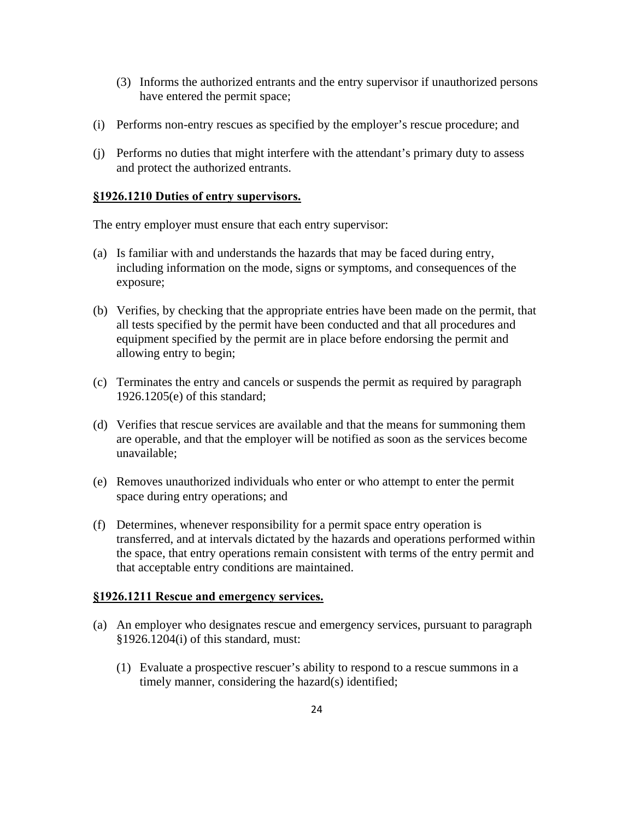- (3) Informs the authorized entrants and the entry supervisor if unauthorized persons have entered the permit space;
- (i) Performs non-entry rescues as specified by the employer's rescue procedure; and
- (j) Performs no duties that might interfere with the attendant's primary duty to assess and protect the authorized entrants.

### **§1926.1210 Duties of entry supervisors.**

The entry employer must ensure that each entry supervisor:

- (a) Is familiar with and understands the hazards that may be faced during entry, including information on the mode, signs or symptoms, and consequences of the exposure;
- (b) Verifies, by checking that the appropriate entries have been made on the permit, that all tests specified by the permit have been conducted and that all procedures and equipment specified by the permit are in place before endorsing the permit and allowing entry to begin;
- (c) Terminates the entry and cancels or suspends the permit as required by paragraph 1926.1205(e) of this standard;
- (d) Verifies that rescue services are available and that the means for summoning them are operable, and that the employer will be notified as soon as the services become unavailable;
- (e) Removes unauthorized individuals who enter or who attempt to enter the permit space during entry operations; and
- (f) Determines, whenever responsibility for a permit space entry operation is transferred, and at intervals dictated by the hazards and operations performed within the space, that entry operations remain consistent with terms of the entry permit and that acceptable entry conditions are maintained.

### **§1926.1211 Rescue and emergency services.**

- (a) An employer who designates rescue and emergency services, pursuant to paragraph §1926.1204(i) of this standard, must:
	- (1) Evaluate a prospective rescuer's ability to respond to a rescue summons in a timely manner, considering the hazard(s) identified;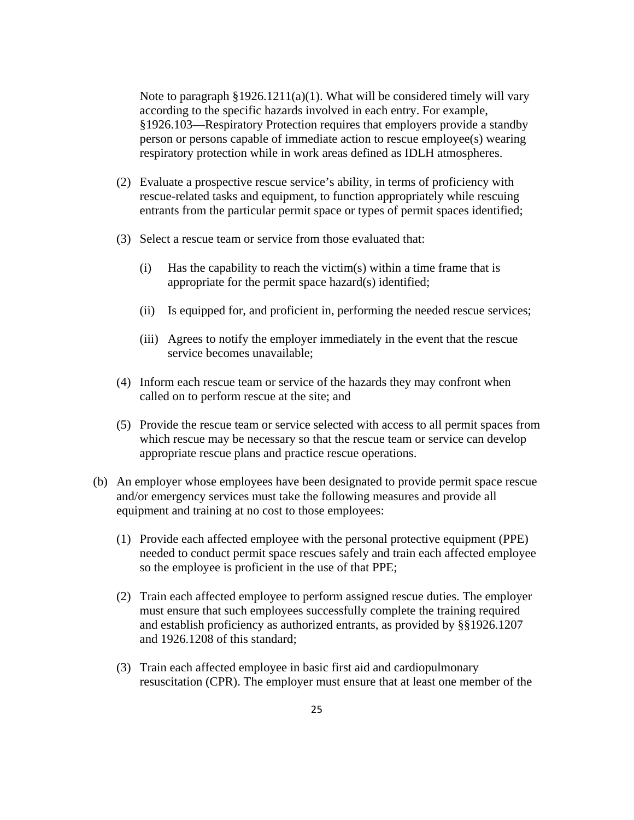Note to paragraph  $§1926.1211(a)(1)$ . What will be considered timely will vary according to the specific hazards involved in each entry. For example, §1926.103—Respiratory Protection requires that employers provide a standby person or persons capable of immediate action to rescue employee(s) wearing respiratory protection while in work areas defined as IDLH atmospheres.

- (2) Evaluate a prospective rescue service's ability, in terms of proficiency with rescue-related tasks and equipment, to function appropriately while rescuing entrants from the particular permit space or types of permit spaces identified;
- (3) Select a rescue team or service from those evaluated that:
	- (i) Has the capability to reach the victim(s) within a time frame that is appropriate for the permit space hazard(s) identified;
	- (ii) Is equipped for, and proficient in, performing the needed rescue services;
	- (iii) Agrees to notify the employer immediately in the event that the rescue service becomes unavailable;
- (4) Inform each rescue team or service of the hazards they may confront when called on to perform rescue at the site; and
- (5) Provide the rescue team or service selected with access to all permit spaces from which rescue may be necessary so that the rescue team or service can develop appropriate rescue plans and practice rescue operations.
- (b) An employer whose employees have been designated to provide permit space rescue and/or emergency services must take the following measures and provide all equipment and training at no cost to those employees:
	- (1) Provide each affected employee with the personal protective equipment (PPE) needed to conduct permit space rescues safely and train each affected employee so the employee is proficient in the use of that PPE;
	- (2) Train each affected employee to perform assigned rescue duties. The employer must ensure that such employees successfully complete the training required and establish proficiency as authorized entrants, as provided by §§1926.1207 and 1926.1208 of this standard;
	- (3) Train each affected employee in basic first aid and cardiopulmonary resuscitation (CPR). The employer must ensure that at least one member of the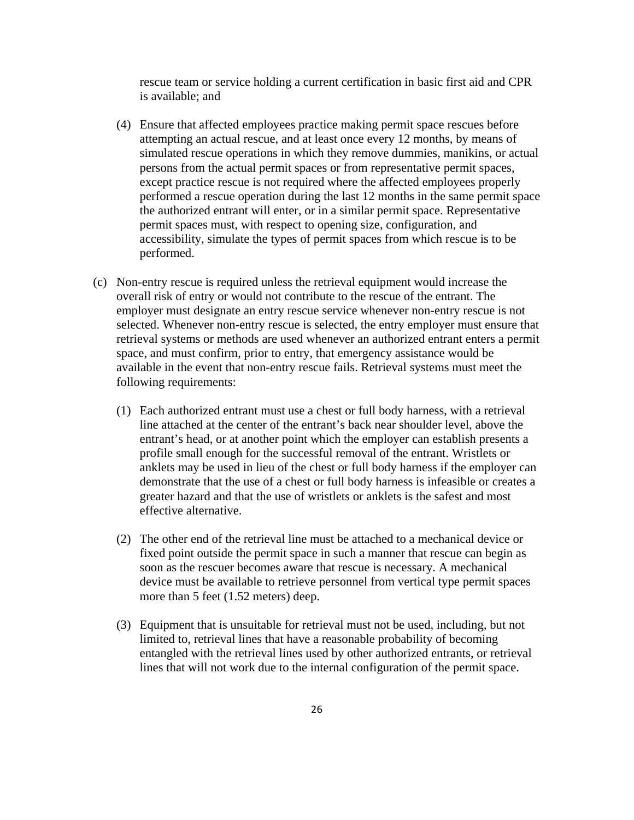rescue team or service holding a current certification in basic first aid and CPR is available; and

- (4) Ensure that affected employees practice making permit space rescues before attempting an actual rescue, and at least once every 12 months, by means of simulated rescue operations in which they remove dummies, manikins, or actual persons from the actual permit spaces or from representative permit spaces, except practice rescue is not required where the affected employees properly performed a rescue operation during the last 12 months in the same permit space the authorized entrant will enter, or in a similar permit space. Representative permit spaces must, with respect to opening size, configuration, and accessibility, simulate the types of permit spaces from which rescue is to be performed.
- (c) Non-entry rescue is required unless the retrieval equipment would increase the overall risk of entry or would not contribute to the rescue of the entrant. The employer must designate an entry rescue service whenever non-entry rescue is not selected. Whenever non-entry rescue is selected, the entry employer must ensure that retrieval systems or methods are used whenever an authorized entrant enters a permit space, and must confirm, prior to entry, that emergency assistance would be available in the event that non-entry rescue fails. Retrieval systems must meet the following requirements:
	- (1) Each authorized entrant must use a chest or full body harness, with a retrieval line attached at the center of the entrant's back near shoulder level, above the entrant's head, or at another point which the employer can establish presents a profile small enough for the successful removal of the entrant. Wristlets or anklets may be used in lieu of the chest or full body harness if the employer can demonstrate that the use of a chest or full body harness is infeasible or creates a greater hazard and that the use of wristlets or anklets is the safest and most effective alternative.
	- (2) The other end of the retrieval line must be attached to a mechanical device or fixed point outside the permit space in such a manner that rescue can begin as soon as the rescuer becomes aware that rescue is necessary. A mechanical device must be available to retrieve personnel from vertical type permit spaces more than 5 feet (1.52 meters) deep.
	- (3) Equipment that is unsuitable for retrieval must not be used, including, but not limited to, retrieval lines that have a reasonable probability of becoming entangled with the retrieval lines used by other authorized entrants, or retrieval lines that will not work due to the internal configuration of the permit space.